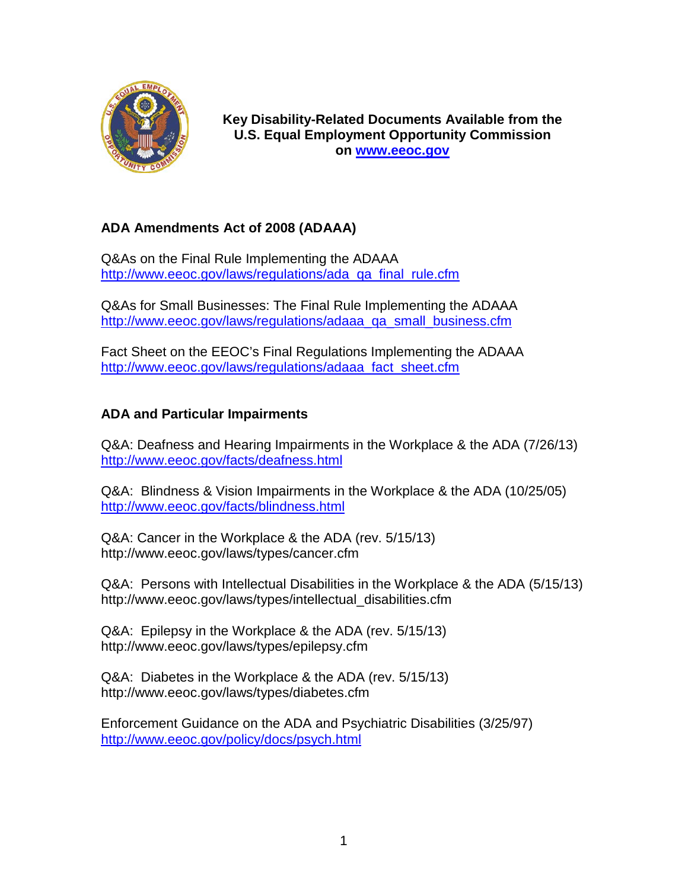

**Key Disability-Related Documents Available from the U.S. Equal Employment Opportunity Commission on [www.eeoc.gov](http://www.eeoc.gov/)**

# **ADA Amendments Act of 2008 (ADAAA)**

Q&As on the Final Rule Implementing the ADAAA [http://www.eeoc.gov/laws/regulations/ada\\_qa\\_final\\_rule.cfm](http://www.eeoc.gov/laws/regulations/ada_qa_final_rule.cfm) 

Q&As for Small Businesses: The Final Rule Implementing the ADAAA [http://www.eeoc.gov/laws/regulations/adaaa\\_qa\\_small\\_business.cfm](http://www.eeoc.gov/laws/regulations/adaaa_qa_small_business.cfm)

Fact Sheet on the EEOC's Final Regulations Implementing the ADAAA http://www.eeoc.gov/laws/regulations/adaaa\_fact\_sheet.cfm

# **ADA and Particular Impairments**

Q&A: Deafness and Hearing Impairments in the Workplace & the ADA (7/26/13) <http://www.eeoc.gov/facts/deafness.html>

Q&A: Blindness & Vision Impairments in the Workplace & the ADA (10/25/05) <http://www.eeoc.gov/facts/blindness.html>

Q&A: Cancer in the Workplace & the ADA (rev. 5/15/13) <http://www.eeoc.gov/laws/types/cancer.cfm>

Q&A: Persons with Intellectual Disabilities in the Workplace & the ADA (5/15/13) [http://www.eeoc.gov/laws/types/intellectual\\_disabilities.cfm](http://www.eeoc.gov/laws/types/intellectual_disabilities.cfm)

Q&A: Epilepsy in the Workplace & the ADA (rev. 5/15/13) <http://www.eeoc.gov/laws/types/epilepsy.cfm>

Q&A: Diabetes in the Workplace & the ADA (rev. 5/15/13) <http://www.eeoc.gov/laws/types/diabetes.cfm>

Enforcement Guidance on the ADA and Psychiatric Disabilities (3/25/97) <http://www.eeoc.gov/policy/docs/psych.html>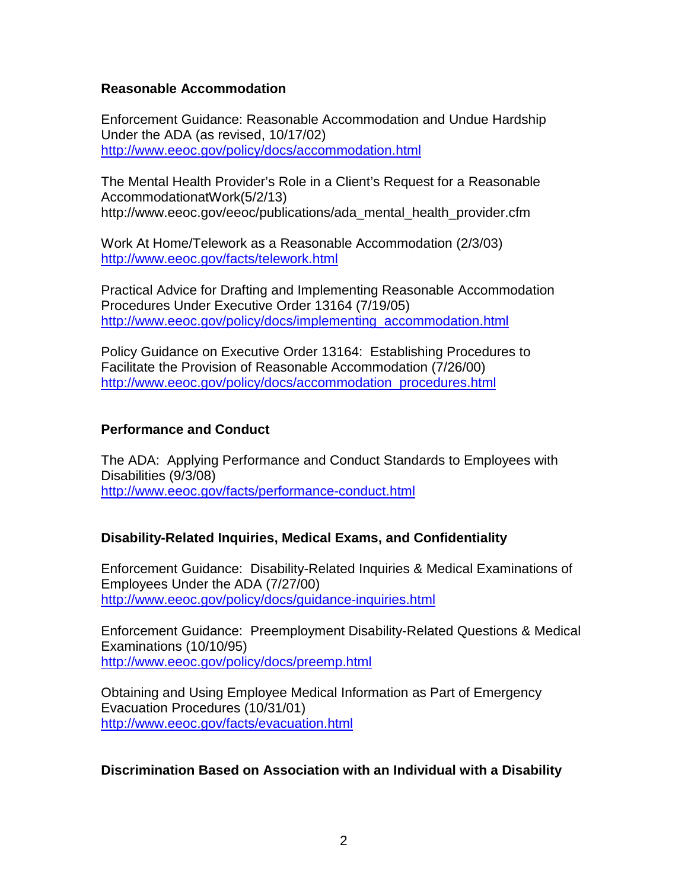## **Reasonable Accommodation**

Enforcement Guidance: Reasonable Accommodation and Undue Hardship Under the ADA (as revised, 10/17/02) <http://www.eeoc.gov/policy/docs/accommodation.html>

The Mental Health Provider's Role in a Client's Request for a Reasonable AccommodationatWork(5/2/13) [http://www.eeoc.gov/eeoc/publications/ada\\_mental\\_health\\_provider.cfm](http://www.eeoc.gov/eeoc/publications/ada_mental_health_provider.cfm)

Work At Home/Telework as a Reasonable Accommodation (2/3/03) <http://www.eeoc.gov/facts/telework.html>

Practical Advice for Drafting and Implementing Reasonable Accommodation Procedures Under Executive Order 13164 (7/19/05) [http://www.eeoc.gov/policy/docs/implementing\\_accommodation.html](http://www.eeoc.gov/policy/docs/implementing_accommodation.html)

Policy Guidance on Executive Order 13164: Establishing Procedures to Facilitate the Provision of Reasonable Accommodation (7/26/00) [http://www.eeoc.gov/policy/docs/accommodation\\_procedures.html](http://www.eeoc.gov/policy/docs/accommodation_procedures.html)

## **Performance and Conduct**

The ADA: Applying Performance and Conduct Standards to Employees with Disabilities (9/3/08) <http://www.eeoc.gov/facts/performance-conduct.html>

## **Disability-Related Inquiries, Medical Exams, and Confidentiality**

Enforcement Guidance: Disability-Related Inquiries & Medical Examinations of Employees Under the ADA (7/27/00) <http://www.eeoc.gov/policy/docs/guidance-inquiries.html>

Enforcement Guidance: Preemployment Disability-Related Questions & Medical Examinations (10/10/95) <http://www.eeoc.gov/policy/docs/preemp.html>

Obtaining and Using Employee Medical Information as Part of Emergency Evacuation Procedures (10/31/01) <http://www.eeoc.gov/facts/evacuation.html>

## **Discrimination Based on Association with an Individual with a Disability**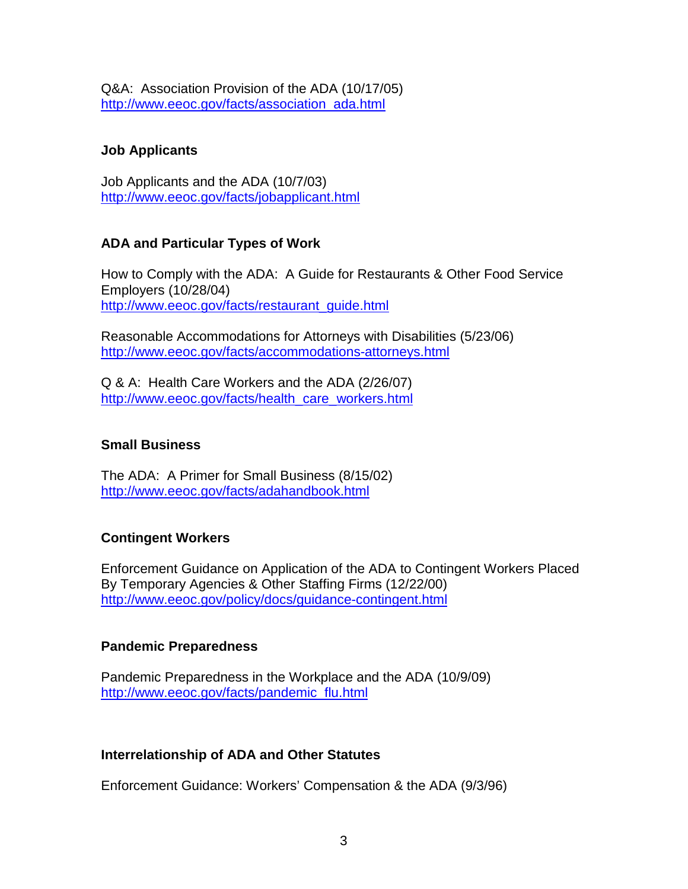Q&A: Association Provision of the ADA (10/17/05) [http://www.eeoc.gov/facts/association\\_ada.html](http://www.eeoc.gov/facts/association_ada.html)

# **Job Applicants**

Job Applicants and the ADA (10/7/03) <http://www.eeoc.gov/facts/jobapplicant.html>

# **ADA and Particular Types of Work**

How to Comply with the ADA: A Guide for Restaurants & Other Food Service Employers (10/28/04[\)](http://www.eeoc.gov/facts/restaurant_guide.html) [http://www.eeoc.gov/facts/restaurant\\_guide.html](http://www.eeoc.gov/facts/restaurant_guide.html)

Reasonable Accommodations for Attorneys with Disabilities (5/23/06) <http://www.eeoc.gov/facts/accommodations-attorneys.html>

Q & A: Health Care Workers and the ADA (2/26/07) [http://www.eeoc.gov/facts/health\\_care\\_workers.html](http://www.eeoc.gov/facts/health_care_workers.html)

## **Small Business**

The ADA: A Primer for Small Business (8/15/02) <http://www.eeoc.gov/facts/adahandbook.html>

# **Contingent Workers**

Enforcement Guidance on Application of the ADA to Contingent Workers Placed By Temporary Agencies & Other Staffing Firms (12/22/00) <http://www.eeoc.gov/policy/docs/guidance-contingent.html>

# **Pandemic Preparedness**

Pandemic Preparedness in the Workplace and the ADA (10/9/09) [http://www.eeoc.gov/facts/pandemic\\_flu.html](http://www.eeoc.gov/facts/pandemic_flu.html)

# **Interrelationship of ADA and Other Statutes**

Enforcement Guidance: Workers' Compensation & the ADA (9/3/96)